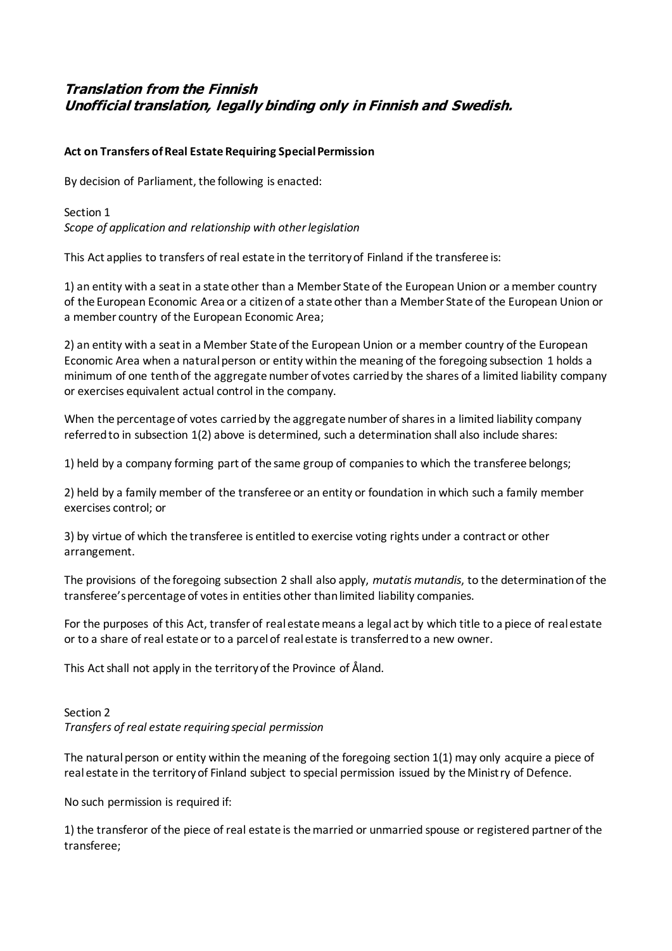# **Translation from the Finnish Unofficial translation, legally binding only in Finnish and Swedish.**

### **Act on Transfers of Real Estate Requiring Special Permission**

By decision of Parliament, the following is enacted:

# Section 1 *Scope of application and relationship with other legislation*

This Act applies to transfers of real estate in the territory of Finland if the transferee is:

1) an entity with a seat in a state other than a Member State of the European Union or a member country of the European Economic Area or a citizen of a state other than a Member State of the European Union or a member country of the European Economic Area;

2) an entity with a seat in a Member State of the European Union or a member country of the European Economic Area when a natural person or entity within the meaning of the foregoing subsection 1 holds a minimum of one tenth of the aggregate number of votes carried by the shares of a limited liability company or exercises equivalent actual control in the company.

When the percentage of votes carried by the aggregate number of shares in a limited liability company referred to in subsection 1(2) above is determined, such a determination shall also include shares:

1) held by a company forming part of the same group of companies to which the transferee belongs;

2) held by a family member of the transferee or an entity or foundation in which such a family member exercises control; or

3) by virtue of which the transferee is entitled to exercise voting rights under a contract or other arrangement.

The provisions of the foregoing subsection 2 shall also apply, *mutatis mutandis*, to the determination of the transferee's percentage of votes in entities other than limited liability companies.

For the purposes of this Act, transfer of real estate means a legal act by which title to a piece of real estate or to a share of real estate or to a parcel of real estate is transferred to a new owner.

This Act shall not apply in the territory of the Province of Åland.

### Section 2 *Transfers of real estate requiring special permission*

The natural person or entity within the meaning of the foregoing section 1(1) may only acquire a piece of real estate in the territory of Finland subject to special permission issued by the Ministry of Defence.

No such permission is required if:

1) the transferor of the piece of real estate is the married or unmarried spouse or registered partner of the transferee;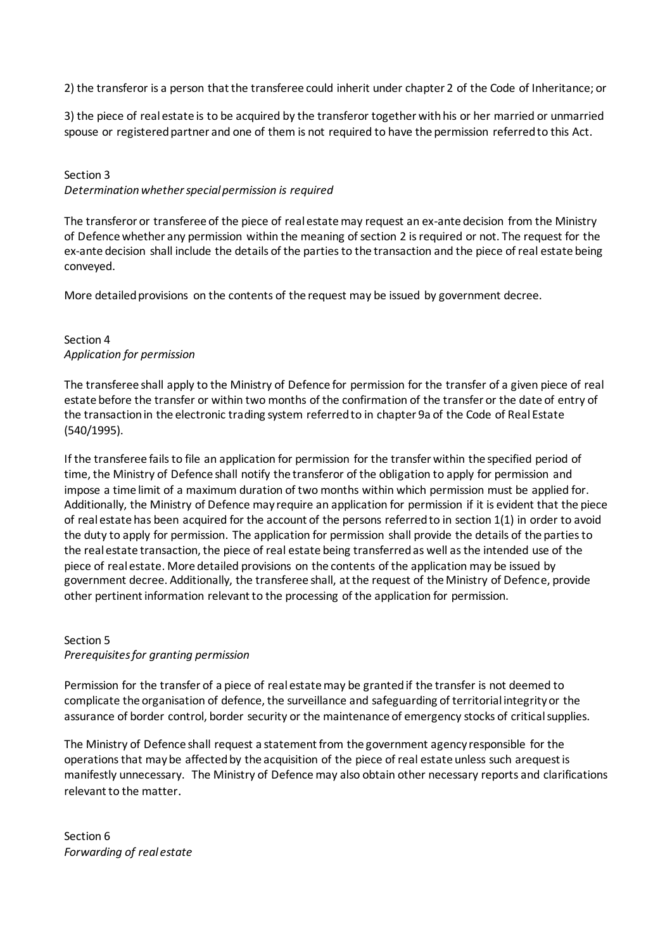2) the transferor is a person that the transferee could inherit under chapter 2 of the Code of Inheritance; or

3) the piece of real estate is to be acquired by the transferor together with his or her married or unmarried spouse or registered partner and one of them is not required to have the permission referred to this Act.

# Section 3 *Determination whether special permission is required*

The transferor or transferee of the piece of real estate may request an ex-ante decision from the Ministry of Defence whether any permission within the meaning of section 2 is required or not. The request for the ex-ante decision shall include the details of the parties to the transaction and the piece of real estate being conveyed.

More detailed provisions on the contents of the request may be issued by government decree.

### Section 4 *Application for permission*

The transferee shall apply to the Ministry of Defence for permission for the transfer of a given piece of real estate before the transfer or within two months of the confirmation of the transfer or the date of entry of the transaction in the electronic trading system referred to in chapter 9a of the Code of Real Estate (540/1995).

If the transferee fails to file an application for permission for the transfer within the specified period of time, the Ministry of Defence shall notify the transferor of the obligation to apply for permission and impose a time limit of a maximum duration of two months within which permission must be applied for. Additionally, the Ministry of Defence may require an application for permission if it is evident that the piece of real estate has been acquired for the account of the persons referred to in section 1(1) in order to avoid the duty to apply for permission. The application for permission shall provide the details of the parties to the real estate transaction, the piece of real estate being transferred as well as the intended use of the piece of real estate. More detailed provisions on the contents of the application may be issued by government decree. Additionally, the transferee shall, at the request of the Ministry of Defence, provide other pertinent information relevant to the processing of the application for permission.

### Section 5 *Prerequisites for granting permission*

Permission for the transfer of a piece of real estate may be granted if the transfer is not deemed to complicate the organisation of defence, the surveillance and safeguarding of territorial integrity or the assurance of border control, border security or the maintenance of emergency stocks of critical supplies.

The Ministry of Defence shall request a statement from the government agency responsible for the operations that may be affected by the acquisition of the piece of real estate unless such arequest is manifestly unnecessary. The Ministry of Defence may also obtain other necessary reports and clarifications relevant to the matter.

Section 6 *Forwarding of real estate*